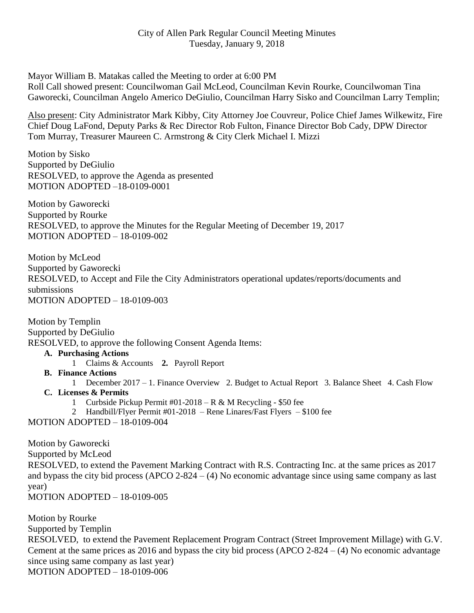Mayor William B. Matakas called the Meeting to order at 6:00 PM Roll Call showed present: Councilwoman Gail McLeod, Councilman Kevin Rourke, Councilwoman Tina Gaworecki, Councilman Angelo Americo DeGiulio, Councilman Harry Sisko and Councilman Larry Templin;

Also present: City Administrator Mark Kibby, City Attorney Joe Couvreur, Police Chief James Wilkewitz, Fire Chief Doug LaFond, Deputy Parks & Rec Director Rob Fulton, Finance Director Bob Cady, DPW Director Tom Murray, Treasurer Maureen C. Armstrong & City Clerk Michael I. Mizzi

Motion by Sisko Supported by DeGiulio RESOLVED, to approve the Agenda as presented MOTION ADOPTED –18-0109-0001

Motion by Gaworecki Supported by Rourke RESOLVED, to approve the Minutes for the Regular Meeting of December 19, 2017 MOTION ADOPTED – 18-0109-002

Motion by McLeod Supported by Gaworecki RESOLVED, to Accept and File the City Administrators operational updates/reports/documents and submissions MOTION ADOPTED – 18-0109-003

Motion by Templin Supported by DeGiulio RESOLVED, to approve the following Consent Agenda Items:

**A. Purchasing Actions**

- 1 Claims & Accounts **2.** Payroll Report
- **B. Finance Actions**
- 1 December 2017 1. Finance Overview 2. Budget to Actual Report 3. Balance Sheet 4. Cash Flow **C. Licenses & Permits**
	- 1 Curbside Pickup Permit #01-2018 R & M Recycling \$50 fee
	- 2 Handbill/Flyer Permit #01-2018 Rene Linares/Fast Flyers \$100 fee

MOTION ADOPTED – 18-0109-004

Motion by Gaworecki Supported by McLeod RESOLVED, to extend the Pavement Marking Contract with R.S. Contracting Inc. at the same prices as 2017 and bypass the city bid process (APCO 2-824 – (4) No economic advantage since using same company as last year)

MOTION ADOPTED – 18-0109-005

Motion by Rourke Supported by Templin RESOLVED, to extend the Pavement Replacement Program Contract (Street Improvement Millage) with G.V. Cement at the same prices as 2016 and bypass the city bid process (APCO 2-824 –  $(4)$ ) No economic advantage since using same company as last year) MOTION ADOPTED – 18-0109-006